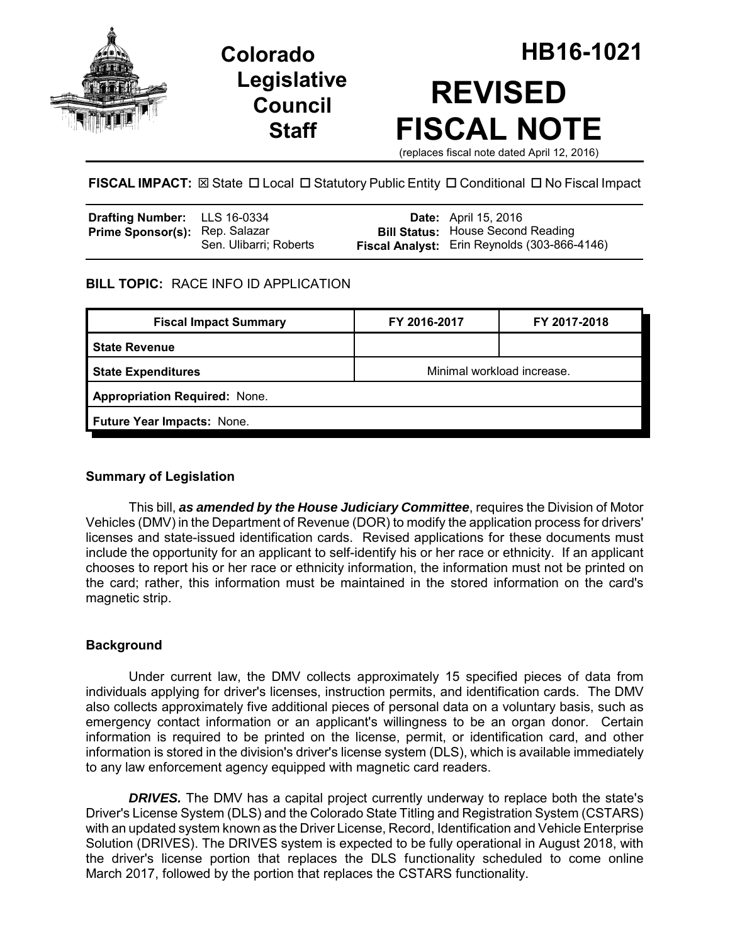





**FISCAL IMPACT:** ⊠ State □ Local □ Statutory Public Entity □ Conditional □ No Fiscal Impact

| Drafting Number: LLS 16-0334          |                        | <b>Date:</b> April 15, 2016                         |
|---------------------------------------|------------------------|-----------------------------------------------------|
| <b>Prime Sponsor(s): Rep. Salazar</b> |                        | <b>Bill Status: House Second Reading</b>            |
|                                       | Sen. Ulibarri; Roberts | <b>Fiscal Analyst:</b> Erin Reynolds (303-866-4146) |

# **BILL TOPIC:** RACE INFO ID APPLICATION

| <b>Fiscal Impact Summary</b>         | FY 2016-2017               | FY 2017-2018 |  |  |  |
|--------------------------------------|----------------------------|--------------|--|--|--|
| <b>State Revenue</b>                 |                            |              |  |  |  |
| <b>State Expenditures</b>            | Minimal workload increase. |              |  |  |  |
| <b>Appropriation Required: None.</b> |                            |              |  |  |  |
| Future Year Impacts: None.           |                            |              |  |  |  |
|                                      |                            |              |  |  |  |

# **Summary of Legislation**

This bill, *as amended by the House Judiciary Committee*, requires the Division of Motor Vehicles (DMV) in the Department of Revenue (DOR) to modify the application process for drivers' licenses and state-issued identification cards. Revised applications for these documents must include the opportunity for an applicant to self-identify his or her race or ethnicity. If an applicant chooses to report his or her race or ethnicity information, the information must not be printed on the card; rather, this information must be maintained in the stored information on the card's magnetic strip.

# **Background**

Under current law, the DMV collects approximately 15 specified pieces of data from individuals applying for driver's licenses, instruction permits, and identification cards. The DMV also collects approximately five additional pieces of personal data on a voluntary basis, such as emergency contact information or an applicant's willingness to be an organ donor. Certain information is required to be printed on the license, permit, or identification card, and other information is stored in the division's driver's license system (DLS), which is available immediately to any law enforcement agency equipped with magnetic card readers.

**DRIVES.** The DMV has a capital project currently underway to replace both the state's Driver's License System (DLS) and the Colorado State Titling and Registration System (CSTARS) with an updated system known as the Driver License, Record, Identification and Vehicle Enterprise Solution (DRIVES). The DRIVES system is expected to be fully operational in August 2018, with the driver's license portion that replaces the DLS functionality scheduled to come online March 2017, followed by the portion that replaces the CSTARS functionality.